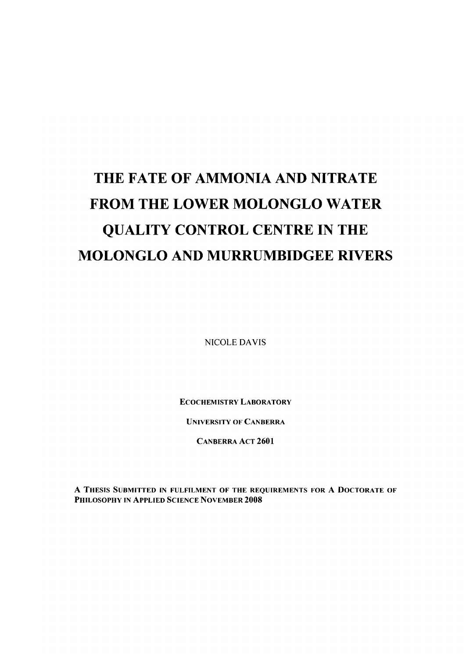# THE FATE OF AMMONIA AND NITRATE FROM THE LOWER MOLONGLO WATER QUALITY CONTROL CENTRE IN THE MOLONGLO AND MURRUMBIDGEE RIVERS

NICOLE DAVIS

ECOCHEMISTRY LABORATORY

UNIVERSITY OF CANBERRA

CANBERRA ACT 2601

A THESIS SUBMITTED IN FULFILMENT OF THE REQUIREMENTS FOR A DOCTORATE OF PHILOSOPHY IN ApPLIED SCIENCE NOVEMBER 2008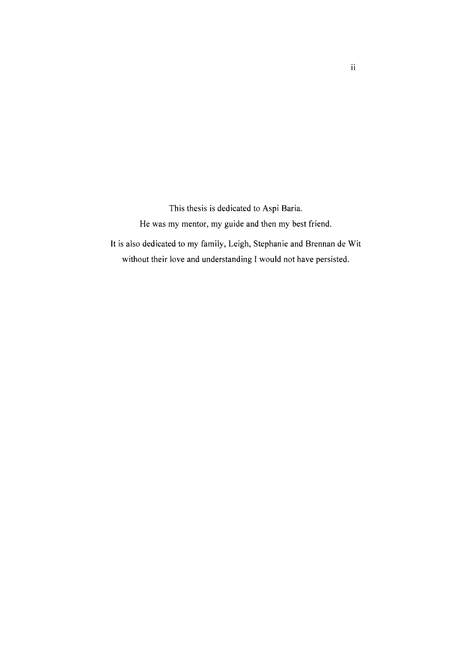This thesis is dedicated to Aspi Baria. He was my mentor, my guide and then my best friend.

It is also dedicated to my family, Leigh, Stephanie and Brennan de Wit without their love and understanding I would not have persisted.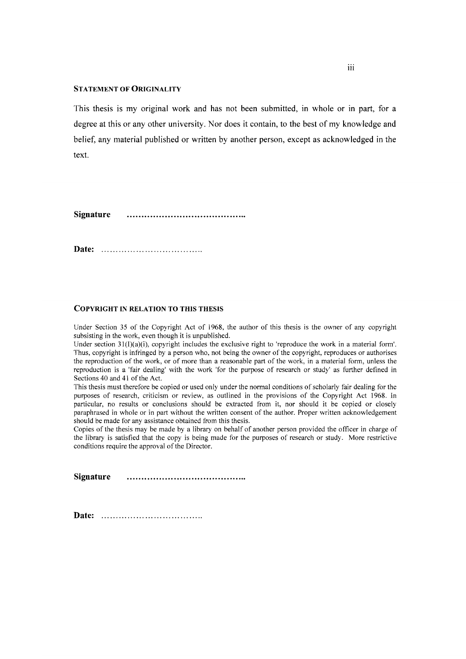#### STATEMENT OF ORIGINALITY

This thesis is my original work and has not been submitted, In whole or in part, for a degree at this or any other university. Nor does it contain, to the best of my knowledge and belief, any material published or written by another person, except as acknowledged in the text.

Signature 

Date:

#### COPYRIGHT IN RELATION TO THIS THESIS

Under Section 35 of the Copyright Act of 1968, the author of this thesis is the owner of any copyright subsisting in the work, even though it is unpublished.

Under section 31(1)(a)(i), copyright includes the exclusive right to 'reproduce the work in a material form'. Thus, copyright is infringed by a person who, not being the owner of the copyright, reproduces or authorises the reproduction of the work, or of more than a reasonable part of the work, in a material form, unless the reproduction is a 'fair dealing' with the work 'for the purpose of research or study' as further defined in Sections 40 and 41 of the Act.

This thesis must therefore be copied or used only under the normal conditions of scholarly fair dealing for the purposes of research, criticism or review, as outlined in the provisions of the Copyright Act 1968. In particular, no results or conclusions should be extracted from it, nor should it be copied or closely paraphrased in whole or in part without the written consent of the author. Proper written acknowledgement should be made for any assistance obtained from this thesis.

Copies of the thesis may be made by a library on behalf of another person provided the officer in charge of the library is satisfied that the copy is being made for the purposes of research or study. More restrictive conditions require the approval of the Director.

Signature 

Date: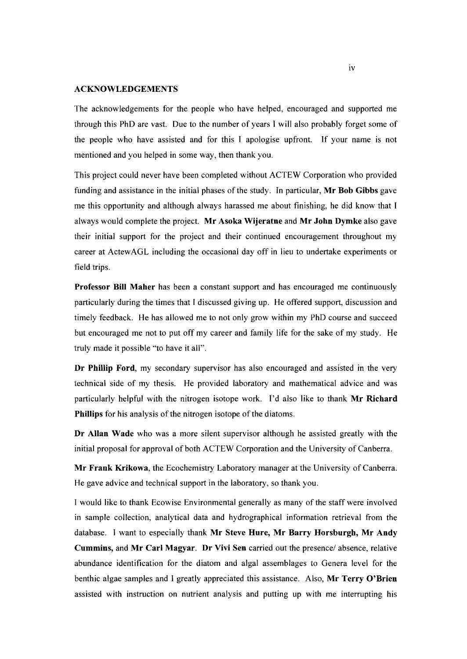#### ACKNOWLEDGEMENTS

The acknowledgements for the people who have helped, encouraged and supported me through this PhD are vast. Due to the number of years I will also probably forget some of the people who have assisted and for this I apologise upfront. If your name is not mentioned and you helped in some way, then thank you.

This project could never have been completed without ACTEW Corporation who provided funding and assistance in the initial phases of the study. In particular, Mr Bob Gibbs gave me this opportunity and although always harassed me about finishing, he did know that I always would complete the project. Mr Asoka Wijeratne and Mr John Dymke also gave their initial support for the project and their continued encouragement throughout my career at ActewAGL including the occasional day off in lieu to undertake experiments or field trips.

Professor Bill Maher has been a constant support and has encouraged me continuously particularly during the times that I discussed giving up. He offered support, discussion and timely feedback. He has allowed me to not only grow within my PhD course and succeed but encouraged me not to put off my career and family life for the sake of my study. He truly made it possible "to have it all".

Dr Phillip Ford, my secondary supervisor has also encouraged and assisted in the very technical side of my thesis. He provided laboratory and mathematical advice and was particularly helpful with the nitrogen isotope work. I'd also like to thank Mr Richard Phillips for his analysis of the nitrogen isotope of the diatoms.

Dr Allan Wade who was a more silent supervisor although he assisted greatly with the initial proposal for approval of both ACTEW Corporation and the University of Canberra.

Mr Frank Krikowa, the Ecochemistry Laboratory manager at the University of Canberra. He gave advice and technical support in the laboratory, so thank you.

I would like to thank Ecowise Environmental generally as many of the staff were involved in sample collection, analytical data and hydrographical information retrieval from the database. I want to especially thank Mr Steve Hure, Mr Barry Horsburgh, Mr Andy Cummins, and Mr Carl Magyar. Dr Vivi Sen carried out the presence/ absence, relative abundance identification for the diatom and algal assemblages to Genera level for the benthic algae samples and I greatly appreciated this assistance. Also, Mr Terry O'Brien assisted with instruction on nutrient analysis and putting up with me interrupting his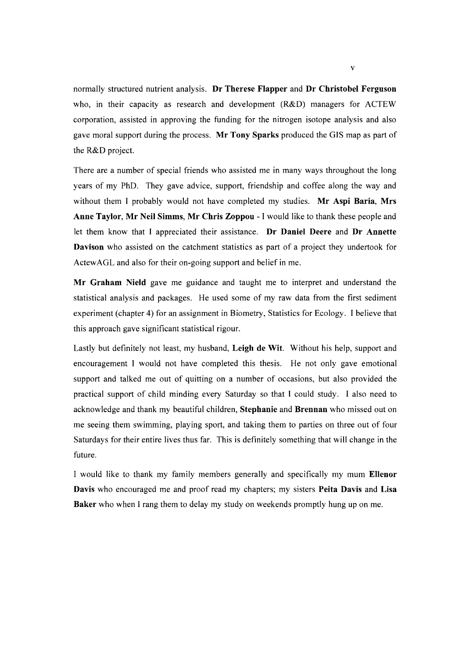normally structured nutrient analysis. Dr Therese Flapper and Dr Christobel Ferguson who, in their capacity as research and development (R&D) managers for ACTEW corporation, assisted in approving the funding for the nitrogen isotope analysis and also gave moral support during the process. Mr Tony Sparks produced the GIS map as part of the R&D project.

There are a number of special friends who assisted me in many ways throughout the long years of my PhD. They gave advice, support, friendship and coffee along the way and without them I probably would not have completed my studies. Mr Aspi Baria, Mrs Anne Taylor, Mr Neil Simms, Mr Chris Zoppou - I would like to thank these people and let them know that I appreciated their assistance. Dr Daniel Deere and Dr Annette Davison who assisted on the catchment statistics as part of a project they undertook for ActewAGL and also for their on-going support and belief in me.

Mr Graham Nield gave me guidance and taught me to interpret and understand the statistical analysis and packages. He used some of my raw data from the first sediment experiment (chapter 4) for an assignment in Biometry, Statistics for Ecology. I believe that this approach gave significant statistical rigour.

Lastly but definitely not least, my husband, Leigh de Wit. Without his help, support and encouragement I would not have completed this thesis. He not only gave emotional support and talked me out of quitting on a number of occasions, but also provided the practical support of child minding every Saturday so that I could study. I also need to acknowledge and thank my beautiful children, Stephanie and Brennan who missed out on me seeing them swimming, playing sport, and taking them to parties on three out of four Saturdays for their entire lives thus far. This is definitely something that will change in the future.

I would like to thank my family members generally and specifically my mum Ellenor Davis who encouraged me and proof read my chapters; my sisters Peita Davis and Lisa Baker who when I rang them to delay my study on weekends promptly hung up on me.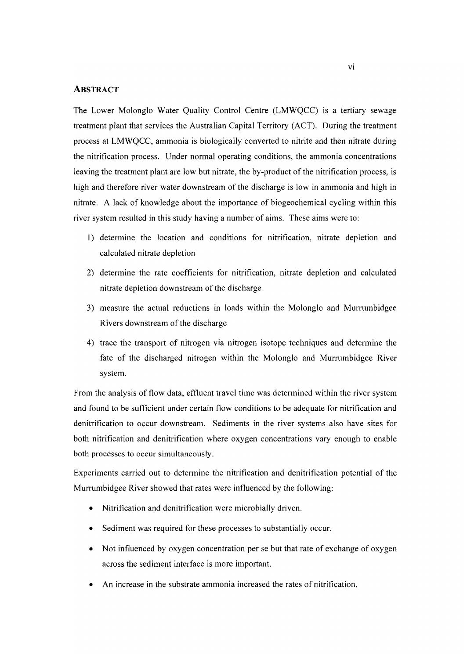#### **ABSTRACT**

The Lower Molonglo Water Quality Control Centre (LMWQCC) is a tertiary sewage treatment plant that services the Australian Capital Territory (ACT). During the treatment process at LMWQCC, ammonia is biologically converted to nitrite and then nitrate during the nitrification process. Under normal operating conditions, the ammonia concentrations leaving the treatment plant are low but nitrate, the by-product of the nitrification process, is high and therefore river water downstream of the discharge is low in ammonia and high in nitrate. A lack of knowledge about the importance of biogeochemical cycling within this river system resulted in this study having a number of aims. These aims were to:

- 1) determine the location and conditions for nitrification, nitrate depletion and calculated nitrate depletion
- 2) determine the rate coefficients for nitrification, nitrate depletion and calculated nitrate depletion downstream of the discharge
- 3) measure the actual reductions in loads within the Molonglo and Murrumbidgee Rivers downstream of the discharge
- 4) trace the transport of nitrogen via nitrogen isotope techniques and determine the fate of the discharged nitrogen within the Molonglo and Murrumbidgee River system.

From the analysis of flow data, effluent travel time was determined within the river system and found to be sufficient under certain flow conditions to be adequate for nitrification and denitrification to occur downstream. Sediments in the river systems also have sites for both nitrification and denitrification where oxygen concentrations vary enough to enable both processes to occur simultaneously.

Experiments carried out to determine the nitrification and denitrification potential of the Murrumbidgee River showed that rates were influenced by the following:

- Nitrification and denitrification were microbially driven.
- Sediment was required for these processes to substantially occur.
- Not influenced by oxygen concentration per se but that rate of exchange of oxygen across the sediment interface is more important.
- An increase in the substrate ammonia increased the rates of nitrification.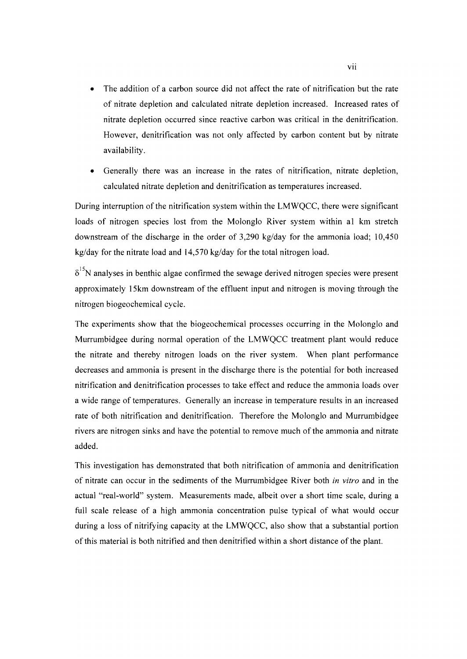- The addition of a carbon source did not affect the rate of nitrification but the rate of nitrate depletion and calculated nitrate depletion increased. Increased rates of nitrate depletion occurred since reactive carbon was critical in the denitrification. However, denitrification was not only affected by carbon content but by nitrate availability.
- Generally there was an increase in the rates of nitrification, nitrate depletion, calculated nitrate depletion and denitrification as temperatures increased.

During interruption of the nitrification system within the LMWQCC, there were significant loads of nitrogen species lost from the Molonglo River system within a1 km stretch downstream of the discharge in the order of 3,290 kg/day for the ammonia load; 10,450 kg/day for the nitrate load and 14,570 kg/day for the total nitrogen load.

 $\delta^{15}$ N analyses in benthic algae confirmed the sewage derived nitrogen species were present approximately 15km downstream of the effluent input and nitrogen is moving through the nitrogen biogeochemical cycle.

The experiments show that the biogeochemical processes occurring in the Molonglo and Murrumbidgee during normal operation of the LMWQCC treatment plant would reduce the nitrate and thereby nitrogen loads on the river system. When plant performance decreases and ammonia is present in the discharge there is the potential for both increased nitrification and denitrification processes to take effect and reduce the ammonia loads over a wide range of temperatures. Generally an increase in temperature results in an increased rate of both nitrification and denitrification. Therefore the Molonglo and Murrumbidgee rivers are nitrogen sinks and have the potential to remove much of the ammonia and nitrate added.

This investigation has demonstrated that both nitrification of ammonia and denitrification of nitrate can occur in the sediments of the Murrumbidgee River both *in vitro* and in the actual "real-world" system. Measurements made, albeit over a short time scale, during a full scale release of a high ammonia concentration pulse typical of what would occur during a loss of nitrifying capacity at the LMWQCC, also show that a substantial portion of this material is both nitrified and then denitrified within a short distance of the plant.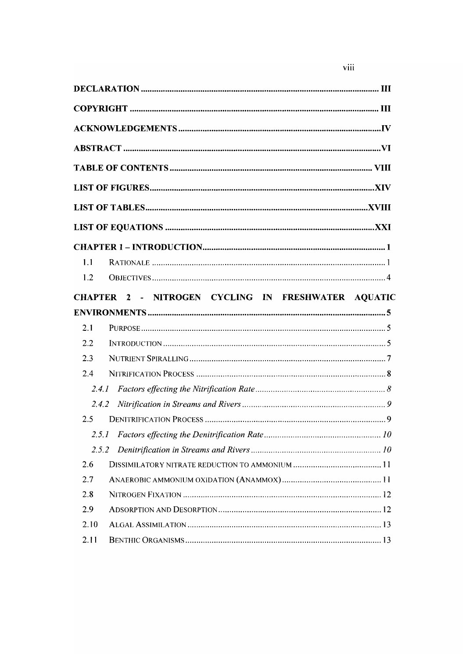| 1.1   |                                                    |
|-------|----------------------------------------------------|
| 1.2   |                                                    |
|       | CHAPTER 2 - NITROGEN CYCLING IN FRESHWATER AQUATIC |
|       |                                                    |
| 2.1   |                                                    |
| 2.2   |                                                    |
| 2.3   |                                                    |
| 2.4   |                                                    |
| 2.4.1 |                                                    |
| 2.4.2 |                                                    |
| 2.5   |                                                    |
| 2.5.1 |                                                    |
| 2.5.2 |                                                    |
| 2.6   |                                                    |
| 2.7   |                                                    |
| 2.8   |                                                    |
| 2.9   |                                                    |
| 2.10  |                                                    |
| 2.11  |                                                    |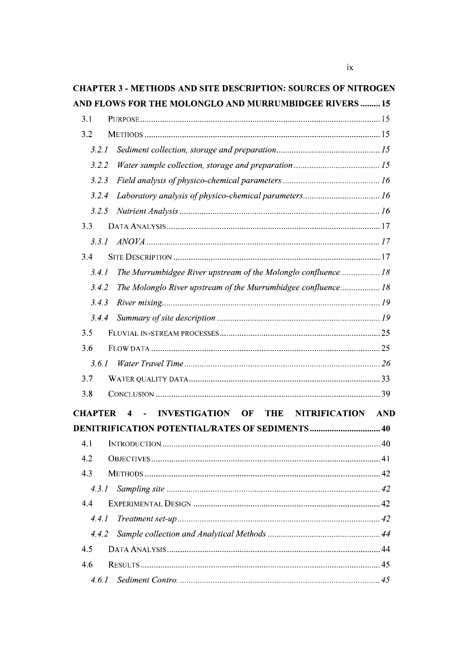| - |              |  |
|---|--------------|--|
| - | ۰.<br>$\sim$ |  |

| <b>CHAPTER 3 - METHODS AND SITE DESCRIPTION: SOURCES OF NITROGEN</b>                                                              |            |
|-----------------------------------------------------------------------------------------------------------------------------------|------------|
| AND FLOWS FOR THE MOLONGLO AND MURRUMBIDGEE RIVERS  15                                                                            |            |
| 3.1                                                                                                                               |            |
| 3.2                                                                                                                               |            |
| 3.2.1                                                                                                                             |            |
| 3.2.2                                                                                                                             |            |
| 3.2.3                                                                                                                             |            |
| 3.2.4                                                                                                                             |            |
| 3.2.5                                                                                                                             |            |
| 3.3                                                                                                                               |            |
|                                                                                                                                   |            |
| 3.4                                                                                                                               |            |
| 3.4.1<br>The Murrumbidgee River upstream of the Molonglo confluence 18                                                            |            |
| 3.4.2<br>The Molonglo River upstream of the Murrumbidgee confluence 18                                                            |            |
| 3, 4, 3                                                                                                                           |            |
| 3.4.4                                                                                                                             |            |
| 3.5                                                                                                                               |            |
| 3.6                                                                                                                               |            |
| 3.6.1                                                                                                                             |            |
| 3.7                                                                                                                               |            |
| 3.8                                                                                                                               |            |
| <b>CHAPTER</b><br><b>INVESTIGATION</b><br>OF<br><b>NITRIFICATION</b><br>$\overline{\mathbf{4}}$<br>$\sim 100$ km s $^{-1}$<br>THE | <b>AND</b> |
| DENITRIFICATION POTENTIAL/RATES OF SEDIMENTS 40                                                                                   |            |
| 4.1                                                                                                                               |            |
| 4.2                                                                                                                               |            |
| 4.3                                                                                                                               |            |
| 4.3.1                                                                                                                             |            |
| 4.4                                                                                                                               |            |
| 4.4.1                                                                                                                             |            |
| 4.4.2                                                                                                                             |            |
| 4.5                                                                                                                               |            |
| 4.6                                                                                                                               |            |
| 4.6.1                                                                                                                             |            |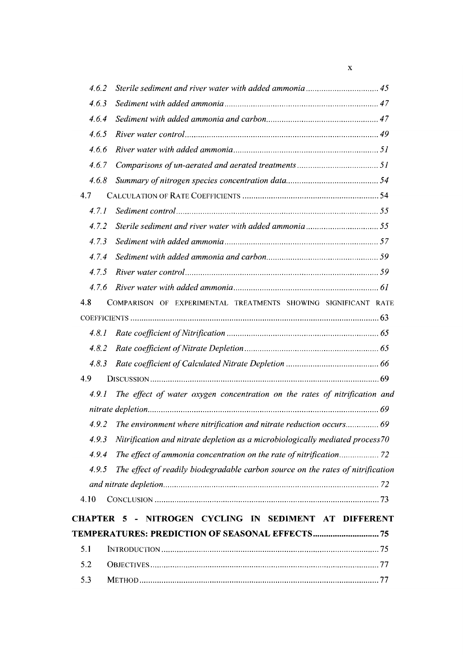| 4.6.2 |                                                                                  |
|-------|----------------------------------------------------------------------------------|
| 4.6.3 |                                                                                  |
| 4.6.4 |                                                                                  |
| 4.6.5 |                                                                                  |
| 4.6.6 |                                                                                  |
| 4.6.7 |                                                                                  |
| 4.6.8 |                                                                                  |
| 4.7   |                                                                                  |
| 4.7.1 |                                                                                  |
| 4.7.2 |                                                                                  |
| 4.7.3 |                                                                                  |
| 4.7.4 |                                                                                  |
| 4.7.5 |                                                                                  |
| 4.7.6 |                                                                                  |
| 4.8   | COMPARISON OF EXPERIMENTAL TREATMENTS SHOWING SIGNIFICANT RATE                   |
|       |                                                                                  |
| 4.8.1 |                                                                                  |
| 4.8.2 |                                                                                  |
| 4.8.3 |                                                                                  |
| 4.9   |                                                                                  |
|       | 4.9.1 The effect of water oxygen concentration on the rates of nitrification and |
|       |                                                                                  |
| 4.9.2 | The environment where nitrification and nitrate reduction occurs 69              |
| 4.9.3 | Nitrification and nitrate depletion as a microbiologically mediated process70    |
| 4.9.4 |                                                                                  |
| 4.9.5 | The effect of readily biodegradable carbon source on the rates of nitrification  |
|       |                                                                                  |
| 4.10  |                                                                                  |
|       |                                                                                  |

# CHAPTER 5 - NITROGEN CYCLING IN SEDIMENT AT DIFFERENT TEMPERATURES: PREDICTION OF SEASONAL EFFECTS 75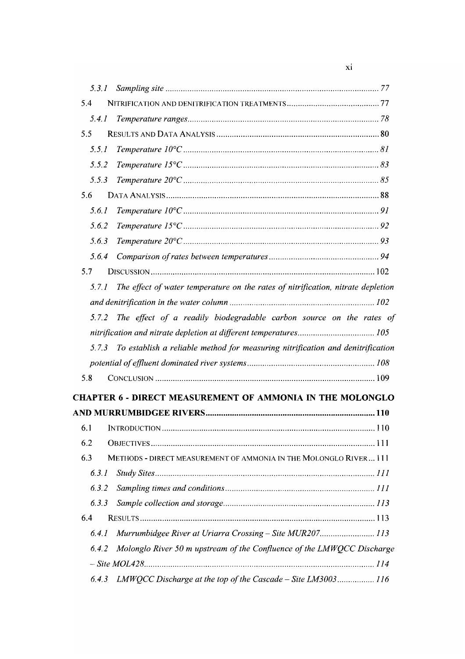| 5.3.1                                                                                     |     |
|-------------------------------------------------------------------------------------------|-----|
| 5.4                                                                                       |     |
| 5.4.1                                                                                     |     |
| 5.5                                                                                       |     |
| 5.5.1                                                                                     |     |
| 5.5.2                                                                                     |     |
| 5.5.3                                                                                     |     |
| 5.6                                                                                       |     |
| 5.6.1                                                                                     |     |
| 5, 6, 2                                                                                   |     |
| 5.6.3                                                                                     |     |
| 5.6.4                                                                                     |     |
| 5.7                                                                                       |     |
| The effect of water temperature on the rates of nitrification, nitrate depletion<br>5.7.1 |     |
|                                                                                           |     |
| 5.7.2 The effect of a readily biodegradable carbon source on the rates of                 |     |
|                                                                                           |     |
| To establish a reliable method for measuring nitrification and denitrification<br>5.7.3   |     |
|                                                                                           |     |
| 5.8                                                                                       |     |
| <b>CHAPTER 6 - DIRECT MEASUREMENT OF AMMONIA IN THE MOLONGLO</b>                          |     |
|                                                                                           |     |
| 6.1 INTRODUCTION                                                                          | 110 |
| 6.2                                                                                       |     |
| 6.3<br>METHODS - DIRECT MEASUREMENT OF AMMONIA IN THE MOLONGLO RIVER 111                  |     |
| 6.3.1                                                                                     |     |
| 6.3.2                                                                                     |     |
| 6, 3, 3                                                                                   |     |
| 6.4                                                                                       |     |
| Murrumbidgee River at Uriarra Crossing - Site MUR207 113<br>6.4.1                         |     |
| Molonglo River 50 m upstream of the Confluence of the LMWQCC Discharge<br>6.4.2           |     |
|                                                                                           |     |
| LMWQCC Discharge at the top of the Cascade - Site LM3003 116<br>6.4.3                     |     |

Xl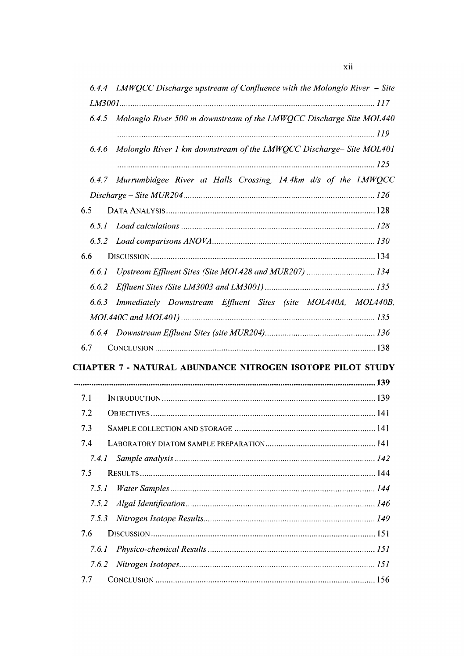|       | 6.4.4 LMWQCC Discharge upstream of Confluence with the Molonglo River $-$ Site |
|-------|--------------------------------------------------------------------------------|
|       |                                                                                |
| 6.4.5 | Molonglo River 500 m downstream of the LMWQCC Discharge Site MOL440            |
| 6.4.6 | Molonglo River 1 km downstream of the LMWQCC Discharge- Site MOL401            |
|       | 6.4.7 Murrumbidgee River at Halls Crossing, 14.4km d/s of the LMWQCC           |
|       |                                                                                |
| 6.5   |                                                                                |
| 6.5.1 |                                                                                |
|       |                                                                                |
| 6.6   |                                                                                |
|       | 6.6.1 Upstream Effluent Sites (Site MOL428 and MUR207)  134                    |
|       |                                                                                |
|       | 6.6.3 Immediately Downstream Effluent Sites (site MOL440A, MOL440B,            |
|       |                                                                                |
|       |                                                                                |
| 6.7   |                                                                                |
|       | CHAPTER 7 - NATURAL ABUNDANCE NITROGEN ISOTOPE PILOT STUDY                     |
|       |                                                                                |
| 7.1   |                                                                                |
| 7.2   |                                                                                |
| 7.3   |                                                                                |
| 7.4   |                                                                                |
| 7.4.1 |                                                                                |
| 7.5   |                                                                                |
| 7.5.1 |                                                                                |
| 7.5.2 |                                                                                |
| 7.5.3 |                                                                                |
| 7.6   |                                                                                |
| 7.6.1 |                                                                                |
| 7.6.2 |                                                                                |
| 7.7   |                                                                                |
|       |                                                                                |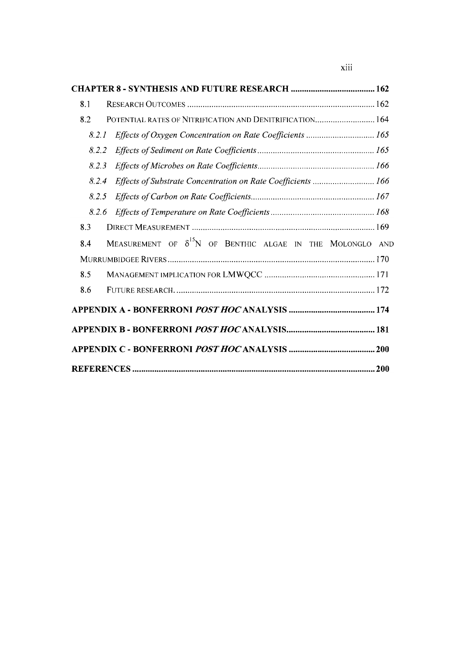| 8.1   |                                                                    |
|-------|--------------------------------------------------------------------|
| 8.2   | POTENTIAL RATES OF NITRIFICATION AND DENITRIFICATION 164           |
| 8.2.1 | Effects of Oxygen Concentration on Rate Coefficients  165          |
| 8.2.2 |                                                                    |
| 8.2.3 |                                                                    |
| 8.2.4 | Effects of Substrate Concentration on Rate Coefficients  166       |
| 8.2.5 |                                                                    |
| 8.2.6 |                                                                    |
| 8.3   |                                                                    |
| 8.4   | MEASUREMENT OF $\delta^{15}N$ OF BENTHIC ALGAE IN THE MOLONGLO AND |
|       |                                                                    |
| 8.5   |                                                                    |
| 8.6   |                                                                    |
|       |                                                                    |
|       |                                                                    |
|       |                                                                    |
|       |                                                                    |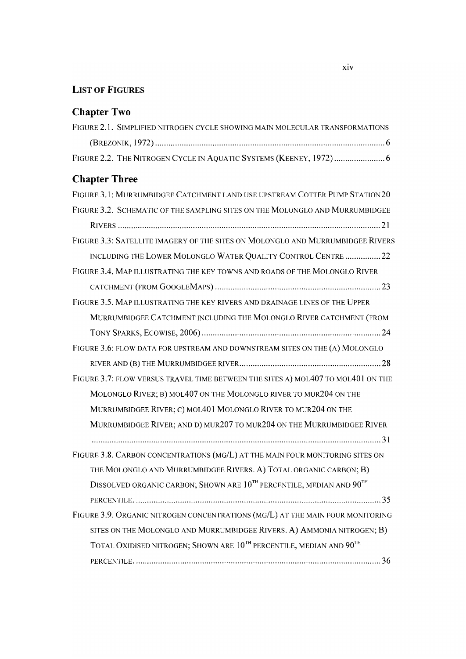#### **LIST OF FIGURES**

## **Chapter Two**

| FIGURE 2.1. SIMPLIFIED NITROGEN CYCLE SHOWING MAIN MOLECULAR TRANSFORMATIONS                |
|---------------------------------------------------------------------------------------------|
|                                                                                             |
| FIGURE 2.2. THE NITROGEN CYCLE IN AQUATIC SYSTEMS (KEENEY, 1972) 6                          |
| <b>Chapter Three</b>                                                                        |
| FIGURE 3.1: MURRUMBIDGEE CATCHMENT LAND USE UPSTREAM COTTER PUMP STATION 20                 |
| FIGURE 3.2. SCHEMATIC OF THE SAMPLING SITES ON THE MOLONGLO AND MURRUMBIDGEE                |
|                                                                                             |
| FIGURE 3.3: SATELLITE IMAGERY OF THE SITES ON MOLONGLO AND MURRUMBIDGEE RIVERS              |
| INCLUDING THE LOWER MOLONGLO WATER QUALITY CONTROL CENTRE  22                               |
| FIGURE 3.4. MAP ILLUSTRATING THE KEY TOWNS AND ROADS OF THE MOLONGLO RIVER                  |
|                                                                                             |
| FIGURE 3.5. MAP ILLUSTRATING THE KEY RIVERS AND DRAINAGE LINES OF THE UPPER                 |
| MURRUMBIDGEE CATCHMENT INCLUDING THE MOLONGLO RIVER CATCHMENT (FROM                         |
|                                                                                             |
| FIGURE 3.6: FLOW DATA FOR UPSTREAM AND DOWNSTREAM SITES ON THE (A) MOLONGLO                 |
|                                                                                             |
| FIGURE 3.7: FLOW VERSUS TRAVEL TIME BETWEEN THE SITES A) MOL407 TO MOL401 ON THE            |
| MOLONGLO RIVER; B) MOL407 ON THE MOLONGLO RIVER TO MUR204 ON THE                            |
| MURRUMBIDGEE RIVER; C) MOL401 MOLONGLO RIVER TO MUR204 ON THE                               |
| MURRUMBIDGEE RIVER; AND D) MUR207 TO MUR204 ON THE MURRUMBIDGEE RIVER                       |
|                                                                                             |
| FIGURE 3.8. CARBON CONCENTRATIONS (MG/L) AT THE MAIN FOUR MONITORING SITES ON               |
| THE MOLONGLO AND MURRUMBIDGEE RIVERS. A) TOTAL ORGANIC CARBON; B)                           |
| DISSOLVED ORGANIC CARBON; SHOWN ARE $10^{TH}$ PERCENTILE, MEDIAN AND $90^{TH}$              |
|                                                                                             |
| FIGURE 3.9. ORGANIC NITROGEN CONCENTRATIONS (MG/L) AT THE MAIN FOUR MONITORING              |
| SITES ON THE MOLONGLO AND MURRUMBIDGEE RIVERS. A) AMMONIA NITROGEN; B)                      |
| TOTAL OXIDISED NITROGEN; SHOWN ARE 10 <sup>TH</sup> PERCENTILE, MEDIAN AND 90 <sup>TH</sup> |
|                                                                                             |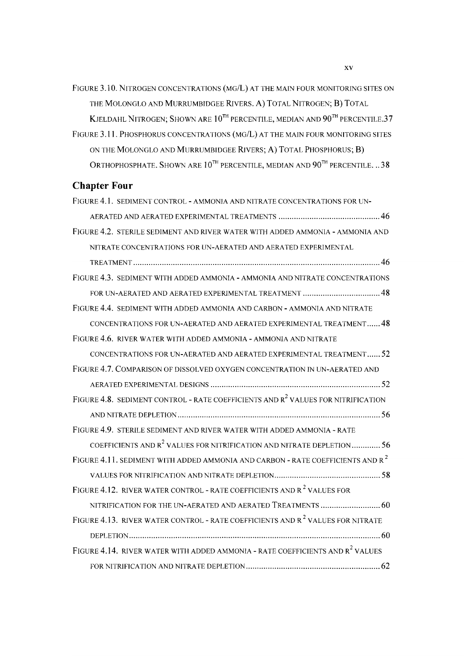| FIGURE 3.10. NITROGEN CONCENTRATIONS (MG/L) AT THE MAIN FOUR MONITORING SITES ON             |
|----------------------------------------------------------------------------------------------|
| THE MOLONGLO AND MURRUMBIDGEE RIVERS. A) TOTAL NITROGEN; B) TOTAL                            |
| KJELDAHL NITROGEN; SHOWN ARE $10^{TH}$ percentile, median and $90^{TH}$ percentile.37        |
| FIGURE 3.11. PHOSPHORUS CONCENTRATIONS (MG/L) AT THE MAIN FOUR MONITORING SITES              |
| ON THE MOLONGLO AND MURRUMBIDGEE RIVERS; A) TOTAL PHOSPHORUS; B)                             |
| ORTHOPHOSPHATE. SHOWN ARE $10^{TH}$ percentile, median and $90^{TH}$ percentile. 38          |
| <b>Chapter Four</b>                                                                          |
| FIGURE 4.1. SEDIMENT CONTROL - AMMONIA AND NITRATE CONCENTRATIONS FOR UN-                    |
|                                                                                              |
| FIGURE 4.2. STERILE SEDIMENT AND RIVER WATER WITH ADDED AMMONIA - AMMONIA AND                |
| NITRATE CONCENTRATIONS FOR UN-AERATED AND AERATED EXPERIMENTAL                               |
|                                                                                              |
| FIGURE 4.3. SEDIMENT WITH ADDED AMMONIA - AMMONIA AND NITRATE CONCENTRATIONS                 |
| FOR UN-AERATED AND AERATED EXPERIMENTAL TREATMENT  48                                        |
| FIGURE 4.4. SEDIMENT WITH ADDED AMMONIA AND CARBON - AMMONIA AND NITRATE                     |
| CONCENTRATIONS FOR UN-AERATED AND AERATED EXPERIMENTAL TREATMENT 48                          |
| FIGURE 4.6. RIVER WATER WITH ADDED AMMONIA - AMMONIA AND NITRATE                             |
| CONCENTRATIONS FOR UN-AERATED AND AERATED EXPERIMENTAL TREATMENT52                           |
| FIGURE 4.7. COMPARISON OF DISSOLVED OXYGEN CONCENTRATION IN UN-AERATED AND                   |
|                                                                                              |
| FIGURE 4.8. SEDIMENT CONTROL - RATE COEFFICIENTS AND R <sup>2</sup> VALUES FOR NITRIFICATION |
|                                                                                              |
| FIGURE 4.9. STERILE SEDIMENT AND RIVER WATER WITH ADDED AMMONIA - RATE                       |
| COEFFICIENTS AND R <sup>2</sup> VALUES FOR NITRIFICATION AND NITRATE DEPLETION56             |
| FIGURE 4.11. SEDIMENT WITH ADDED AMMONIA AND CARBON - RATE COEFFICIENTS AND R <sup>2</sup>   |
|                                                                                              |
| FIGURE 4.12. RIVER WATER CONTROL - RATE COEFFICIENTS AND R <sup>2</sup> VALUES FOR           |
| NITRIFICATION FOR THE UN-AERATED AND AERATED TREATMENTS  60                                  |
| FIGURE 4.13. RIVER WATER CONTROL - RATE COEFFICIENTS AND R <sup>2</sup> VALUES FOR NITRATE   |
|                                                                                              |
| FIGURE 4.14. RIVER WATER WITH ADDED AMMONIA - RATE COEFFICIENTS AND R <sup>2</sup> VALUES    |
|                                                                                              |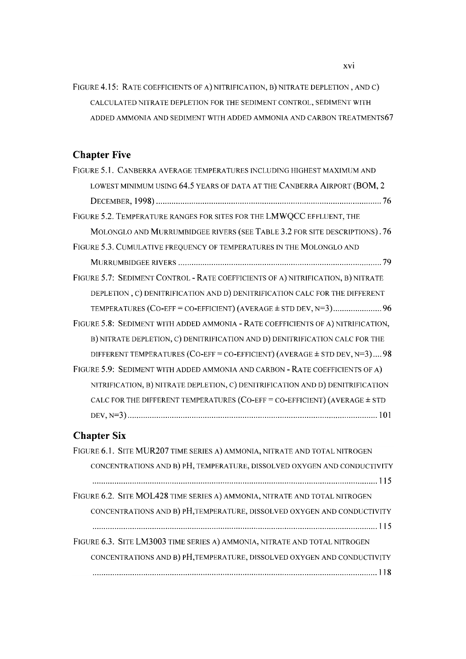FIGURE 4.15: RATE COEFFICIENTS OF A) NITRIFICATION, B) NITRATE DEPLETION, AND C) CALCULA TED NITRATE DEPLETION FOR THE SEDIMENT CONTROL, SEDIMENT WITH ADDED AMMONIA AND SEDIMENT WITH ADDED AMMONIA AND CARBON TREATMENTS67

#### Chapter Five

| FIGURE 5.1. CANBERRA AVERAGE TEMPERATURES INCLUDING HIGHEST MAXIMUM AND          |
|----------------------------------------------------------------------------------|
| LOWEST MINIMUM USING 64.5 YEARS OF DATA AT THE CANBERRA AIRPORT (BOM, 2          |
|                                                                                  |
| FIGURE 5.2. TEMPERATURE RANGES FOR SITES FOR THE LMWQCC EFFLUENT, THE            |
| MOLONGLO AND MURRUMBIDGEE RIVERS (SEE TABLE 3.2 FOR SITE DESCRIPTIONS). 76       |
| FIGURE 5.3. CUMULATIVE FREQUENCY OF TEMPERATURES IN THE MOLONGLO AND             |
|                                                                                  |
| FIGURE 5.7: SEDIMENT CONTROL - RATE COEFFICIENTS OF A) NITRIFICATION, B) NITRATE |
| DEPLETION, C) DENITRIFICATION AND D) DENITRIFICATION CALC FOR THE DIFFERENT      |
|                                                                                  |
| FIGURE 5.8: SEDIMENT WITH ADDED AMMONIA - RATE COEFFICIENTS OF A) NITRIFICATION, |
| B) NITRATE DEPLETION, C) DENITRIFICATION AND D) DENITRIFICATION CALC FOR THE     |
| DIFFERENT TEMPERATURES (CO-EFF = CO-EFFICIENT) (AVERAGE $\pm$ STD DEV, N=3)98    |
| FIGURE 5.9: SEDIMENT WITH ADDED AMMONIA AND CARBON - RATE COEFFICIENTS OF A)     |
| NITRIFICATION, B) NITRATE DEPLETION, C) DENITRIFICATION AND D) DENITRIFICATION   |
| CALC FOR THE DIFFERENT TEMPERATURES (CO-EFF = CO-EFFICIENT) (AVERAGE $\pm$ STD   |
|                                                                                  |

#### Chapter Six

| FIGURE 6.1. SITE MUR207 TIME SERIES A) AMMONIA, NITRATE AND TOTAL NITROGEN |
|----------------------------------------------------------------------------|
| CONCENTRATIONS AND B) PH, TEMPERATURE, DISSOLVED OXYGEN AND CONDUCTIVITY   |
|                                                                            |
| FIGURE 6.2. SITE MOL428 TIME SERIES A) AMMONIA, NITRATE AND TOTAL NITROGEN |
| CONCENTRATIONS AND B) PH, TEMPERATURE, DISSOLVED OXYGEN AND CONDUCTIVITY   |
|                                                                            |
| FIGURE 6.3. SITE LM3003 TIME SERIES A) AMMONIA, NITRATE AND TOTAL NITROGEN |
| CONCENTRATIONS AND B) PH, TEMPERATURE, DISSOLVED OXYGEN AND CONDUCTIVITY   |
|                                                                            |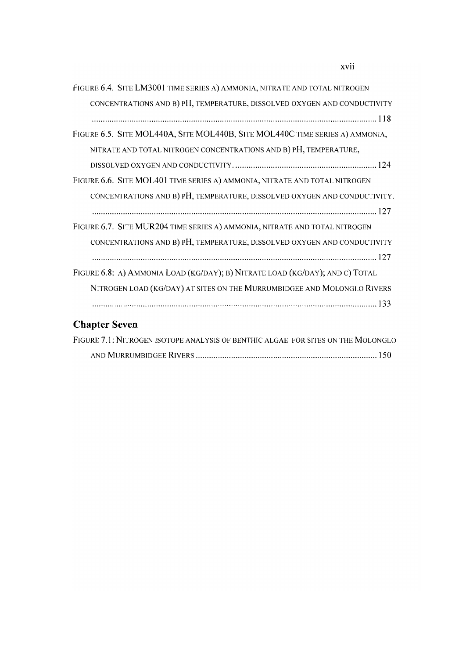| FIGURE 6.4. SITE LM3001 TIME SERIES A) AMMONIA, NITRATE AND TOTAL NITROGEN   |
|------------------------------------------------------------------------------|
| CONCENTRATIONS AND B) PH, TEMPERATURE, DISSOLVED OXYGEN AND CONDUCTIVITY     |
|                                                                              |
| FIGURE 6.5. SITE MOL440A, SITE MOL440B, SITE MOL440C TIME SERIES A) AMMONIA, |
| NITRATE AND TOTAL NITROGEN CONCENTRATIONS AND B) PH, TEMPERATURE,            |
|                                                                              |
| FIGURE 6.6. SITE MOL401 TIME SERIES A) AMMONIA, NITRATE AND TOTAL NITROGEN   |
| CONCENTRATIONS AND B) PH, TEMPERATURE, DISSOLVED OXYGEN AND CONDUCTIVITY.    |
|                                                                              |
| FIGURE 6.7. SITE MUR204 TIME SERIES A) AMMONIA, NITRATE AND TOTAL NITROGEN   |
| CONCENTRATIONS AND B) PH, TEMPERATURE, DISSOLVED OXYGEN AND CONDUCTIVITY     |
|                                                                              |
| FIGURE 6.8: A) AMMONIA LOAD (KG/DAY); B) NITRATE LOAD (KG/DAY); AND C) TOTAL |
| NITROGEN LOAD (KG/DAY) AT SITES ON THE MURRUMBIDGEE AND MOLONGLO RIVERS      |
|                                                                              |
|                                                                              |

#### **Chapter Seven**

| FIGURE 7.1: NITROGEN ISOTOPE ANALYSIS OF BENTHIC ALGAE FOR SITES ON THE MOLONGLO |  |  |
|----------------------------------------------------------------------------------|--|--|
|                                                                                  |  |  |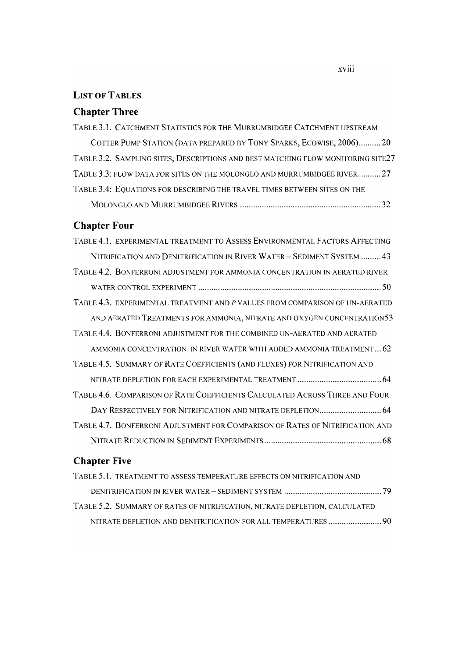#### **LIST OF TABLES**

## **Chapter Three**

| TABLE 3.1. CATCHMENT STATISTICS FOR THE MURRUMBIDGEE CATCHMENT UPSTREAM          |  |
|----------------------------------------------------------------------------------|--|
| COTTER PUMP STATION (DATA PREPARED BY TONY SPARKS, ECOWISE, 2006)20              |  |
| TABLE 3.2. SAMPLING SITES, DESCRIPTIONS AND BEST MATCHING FLOW MONITORING SITE27 |  |
| TABLE 3.3: FLOW DATA FOR SITES ON THE MOLONGLO AND MURRUMBIDGEE RIVER.  27       |  |
| TABLE 3.4: EQUATIONS FOR DESCRIBING THE TRAVEL TIMES BETWEEN SITES ON THE        |  |
|                                                                                  |  |

## **Chapter Four**

#### **Chapter Five**

| TABLE 5.1. TREATMENT TO ASSESS TEMPERATURE EFFECTS ON NITRIFICATION AND     |  |
|-----------------------------------------------------------------------------|--|
|                                                                             |  |
| TABLE 5.2. SUMMARY OF RATES OF NITRIFICATION, NITRATE DEPLETION, CALCULATED |  |
| NITRATE DEPLETION AND DENITRIFICATION FOR ALL TEMPERATURES 90               |  |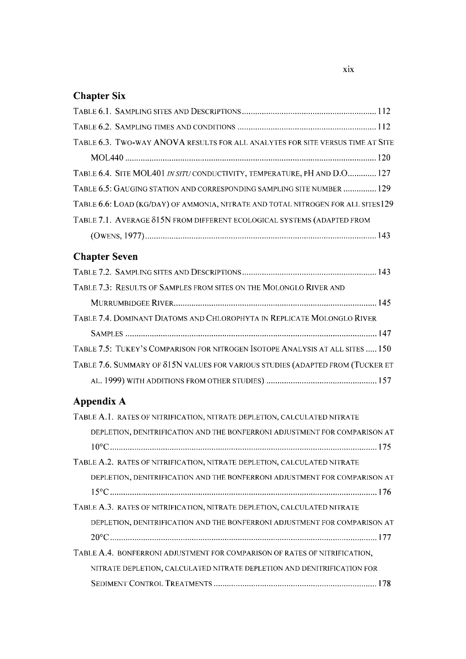## **Chapter Six**

| TABLE 6.3. TWO-WAY ANOVA RESULTS FOR ALL ANALYTES FOR SITE VERSUS TIME AT SITE    |
|-----------------------------------------------------------------------------------|
|                                                                                   |
| TABLE 6.4. SITE MOL401 IN SITU CONDUCTIVITY, TEMPERATURE, PH AND D.O 127          |
| TABLE 6.5: GAUGING STATION AND CORRESPONDING SAMPLING SITE NUMBER  129            |
| TABLE 6.6: LOAD (KG/DAY) OF AMMONIA, NITRATE AND TOTAL NITROGEN FOR ALL SITES 129 |
| TABLE 7.1. AVERAGE δ15N FROM DIFFERENT ECOLOGICAL SYSTEMS (ADAPTED FROM           |
|                                                                                   |

#### **Chapter Seven**

| TABLE 7.3: RESULTS OF SAMPLES FROM SITES ON THE MOLONGLO RIVER AND             |
|--------------------------------------------------------------------------------|
|                                                                                |
| TABLE 7.4. DOMINANT DIATOMS AND CHLOROPHYTA IN REPLICATE MOLONGLO RIVER        |
|                                                                                |
| TABLE 7.5: TUKEY'S COMPARISON FOR NITROGEN ISOTOPE ANALYSIS AT ALL SITES  150  |
| TABLE 7.6. SUMMARY OF 815N VALUES FOR VARIOUS STUDIES (ADAPTED FROM (TUCKER ET |
|                                                                                |

## Appendix A

| TABLE A.1. RATES OF NITRIFICATION, NITRATE DEPLETION, CALCULATED NITRATE   |
|----------------------------------------------------------------------------|
| DEPLETION, DENITRIFICATION AND THE BONFERRONI ADJUSTMENT FOR COMPARISON AT |
|                                                                            |
| TABLE A.2. RATES OF NITRIFICATION, NITRATE DEPLETION, CALCULATED NITRATE   |
| DEPLETION, DENITRIFICATION AND THE BONFERRONI ADJUSTMENT FOR COMPARISON AT |
|                                                                            |
| TABLE A.3. RATES OF NITRIFICATION, NITRATE DEPLETION, CALCULATED NITRATE   |
| DEPLETION, DENITRIFICATION AND THE BONFERRONI ADJUSTMENT FOR COMPARISON AT |
|                                                                            |
| TABLE A.4. BONFERRONI ADJUSTMENT FOR COMPARISON OF RATES OF NITRIFICATION, |
| NITRATE DEPLETION, CALCULATED NITRATE DEPLETION AND DENITRIFICATION FOR    |
|                                                                            |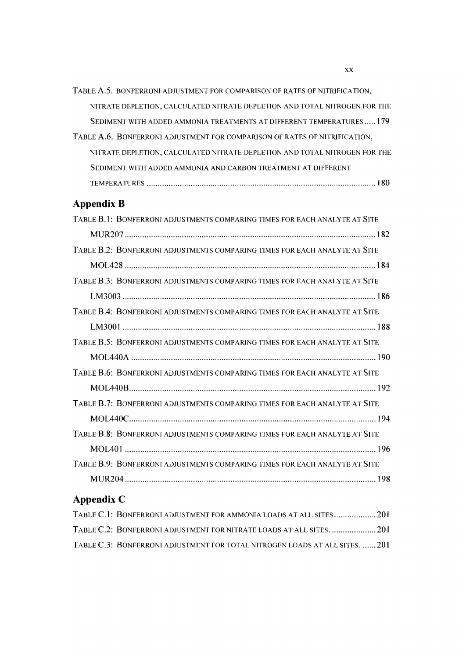| TABLE A.5. BONFERRONI ADJUSTMENT FOR COMPARISON OF RATES OF NITRIFICATION, |
|----------------------------------------------------------------------------|
| NITRATE DEPLETION, CALCULATED NITRATE DEPLETION AND TOTAL NITROGEN FOR THE |
| SEDIMENT WITH ADDED AMMONIA TREATMENTS AT DIFFERENT TEMPERATURES 179       |
| TABLE A.6. BONFERRONI ADJUSTMENT FOR COMPARISON OF RATES OF NITRIFICATION, |
| NITRATE DEPLETION, CALCULATED NITRATE DEPLETION AND TOTAL NITROGEN FOR THE |
| SEDIMENT WITH ADDED AMMONIA AND CARBON TREATMENT AT DIFFERENT              |
|                                                                            |

# **Appendix B**

| TABLE B.1: BONFERRONI ADJUSTMENTS COMPARING TIMES FOR EACH ANALYTE AT SITE |
|----------------------------------------------------------------------------|
|                                                                            |
| TABLE B.2: BONFERRONI ADJUSTMENTS COMPARING TIMES FOR EACH ANALYTE AT SITE |
|                                                                            |
| TABLE B.3: BONFERRONI ADJUSTMENTS COMPARING TIMES FOR EACH ANALYTE AT SITE |
|                                                                            |
| TABLE B.4: BONFERRONI ADJUSTMENTS COMPARING TIMES FOR EACH ANALYTE AT SITE |
|                                                                            |
| TABLE B.5: BONFERRONI ADJUSTMENTS COMPARING TIMES FOR EACH ANALYTE AT SITE |
|                                                                            |
| TABLE B.6: BONFERRONI ADJUSTMENTS COMPARING TIMES FOR EACH ANALYTE AT SITE |
|                                                                            |
| TABLE B.7: BONFERRONI ADJUSTMENTS COMPARING TIMES FOR EACH ANALYTE AT SITE |
|                                                                            |
| TABLE B.8: BONFERRONI ADJUSTMENTS COMPARING TIMES FOR EACH ANALYTE AT SITE |
|                                                                            |
| TABLE B.9: BONFERRONI ADJUSTMENTS COMPARING TIMES FOR EACH ANALYTE AT SITE |
|                                                                            |

# **Appendix C**

| TABLE C.1: BONFERRONI ADJUSTMENT FOR AMMONIA LOADS AT ALL SITES 201          |  |
|------------------------------------------------------------------------------|--|
| TABLE C.2: BONFERRONI ADJUSTMENT FOR NITRATE LOADS AT ALL SITES.  201        |  |
| TABLE C.3: BONFERRONI ADJUSTMENT FOR TOTAL NITROGEN LOADS AT ALL SITES.  201 |  |